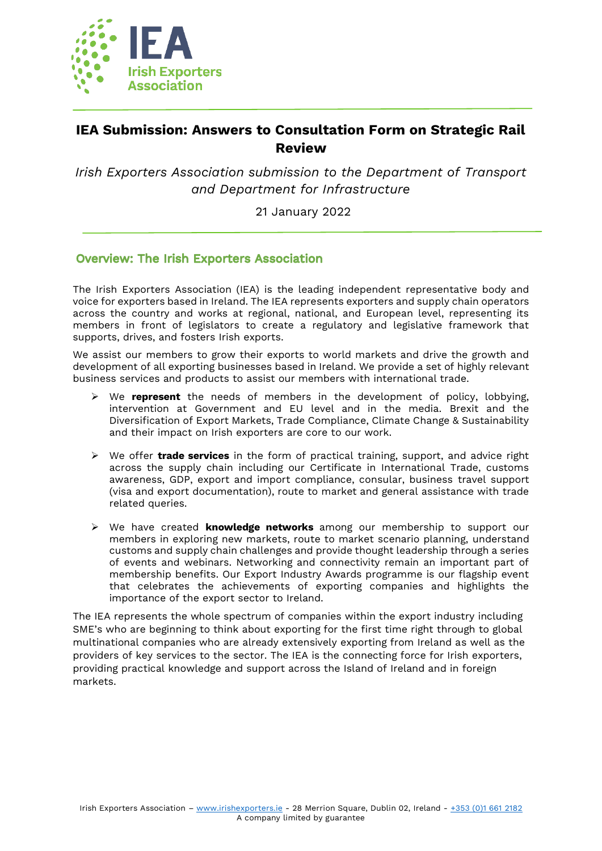

# **IEA Submission: Answers to Consultation Form on Strategic Rail Review**

*Irish Exporters Association submission to the Department of Transport and Department for Infrastructure*

21 January 2022

## **Overview: The Irish Exporters Association**

The Irish Exporters Association (IEA) is the leading independent representative body and voice for exporters based in Ireland. The IEA represents exporters and supply chain operators across the country and works at regional, national, and European level, representing its members in front of legislators to create a regulatory and legislative framework that supports, drives, and fosters Irish exports.

We assist our members to grow their exports to world markets and drive the growth and development of all exporting businesses based in Ireland. We provide a set of highly relevant business services and products to assist our members with international trade.

- ➢ We **represent** the needs of members in the development of policy, lobbying, intervention at Government and EU level and in the media. Brexit and the Diversification of Export Markets, Trade Compliance, Climate Change & Sustainability and their impact on Irish exporters are core to our work.
- ➢ We offer **trade services** in the form of practical training, support, and advice right across the supply chain including our Certificate in International Trade, customs awareness, GDP, export and import compliance, consular, business travel support (visa and export documentation), route to market and general assistance with trade related queries.
- ➢ We have created **knowledge networks** among our membership to support our members in exploring new markets, route to market scenario planning, understand customs and supply chain challenges and provide thought leadership through a series of events and webinars. Networking and connectivity remain an important part of membership benefits. Our Export Industry Awards programme is our flagship event that celebrates the achievements of exporting companies and highlights the importance of the export sector to Ireland.

The IEA represents the whole spectrum of companies within the export industry including SME's who are beginning to think about exporting for the first time right through to global multinational companies who are already extensively exporting from Ireland as well as the providers of key services to the sector. The IEA is the connecting force for Irish exporters, providing practical knowledge and support across the Island of Ireland and in foreign markets.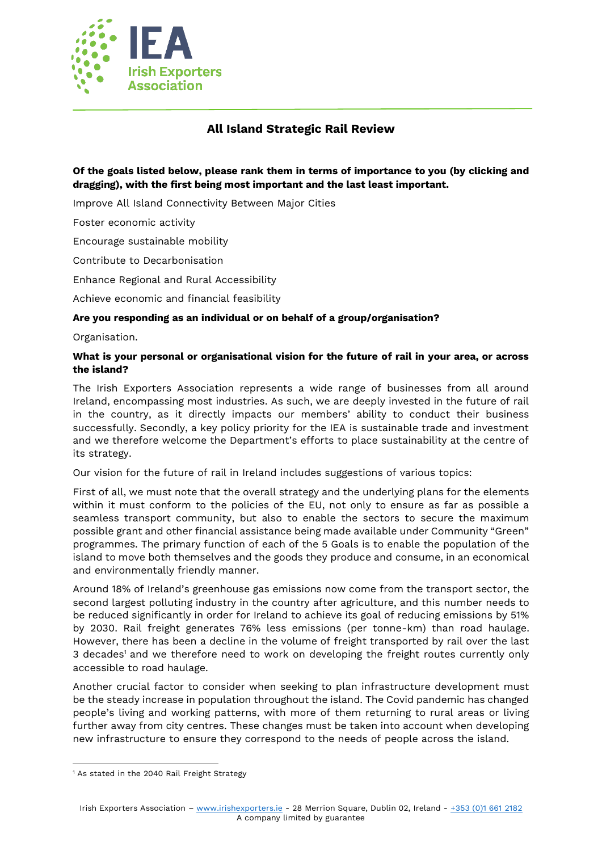

## **All Island Strategic Rail Review**

## **Of the goals listed below, please rank them in terms of importance to you (by clicking and dragging), with the first being most important and the last least important.**

Improve All Island Connectivity Between Major Cities

Foster economic activity

Encourage sustainable mobility

Contribute to Decarbonisation

Enhance Regional and Rural Accessibility

Achieve economic and financial feasibility

### **Are you responding as an individual or on behalf of a group/organisation?**

Organisation.

### **What is your personal or organisational vision for the future of rail in your area, or across the island?**

The Irish Exporters Association represents a wide range of businesses from all around Ireland, encompassing most industries. As such, we are deeply invested in the future of rail in the country, as it directly impacts our members' ability to conduct their business successfully. Secondly, a key policy priority for the IEA is sustainable trade and investment and we therefore welcome the Department's efforts to place sustainability at the centre of its strategy.

Our vision for the future of rail in Ireland includes suggestions of various topics:

First of all, we must note that the overall strategy and the underlying plans for the elements within it must conform to the policies of the EU, not only to ensure as far as possible a seamless transport community, but also to enable the sectors to secure the maximum possible grant and other financial assistance being made available under Community "Green" programmes. The primary function of each of the 5 Goals is to enable the population of the island to move both themselves and the goods they produce and consume, in an economical and environmentally friendly manner.

Around 18% of Ireland's greenhouse gas emissions now come from the transport sector, the second largest polluting industry in the country after agriculture, and this number needs to be reduced significantly in order for Ireland to achieve its goal of reducing emissions by 51% by 2030. Rail freight generates 76% less emissions (per tonne-km) than road haulage. However, there has been a decline in the volume of freight transported by rail over the last 3 decades<sup>1</sup> and we therefore need to work on developing the freight routes currently only accessible to road haulage.

Another crucial factor to consider when seeking to plan infrastructure development must be the steady increase in population throughout the island. The Covid pandemic has changed people's living and working patterns, with more of them returning to rural areas or living further away from city centres. These changes must be taken into account when developing new infrastructure to ensure they correspond to the needs of people across the island.

<sup>&</sup>lt;sup>1</sup> As stated in the 2040 Rail Freight Strategy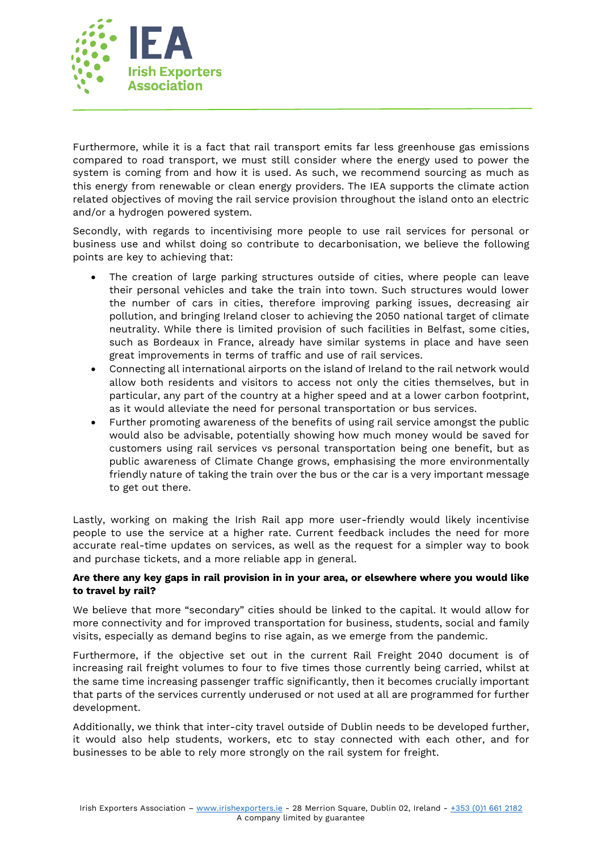

Furthermore, while it is a fact that rail transport emits far less greenhouse gas emissions compared to road transport, we must still consider where the energy used to power the system is coming from and how it is used. As such, we recommend sourcing as much as this energy from renewable or clean energy providers. The IEA supports the climate action related objectives of moving the rail service provision throughout the island onto an electric and/or a hydrogen powered system.

Secondly, with regards to incentivising more people to use rail services for personal or business use and whilst doing so contribute to decarbonisation, we believe the following points are key to achieving that:

- The creation of large parking structures outside of cities, where people can leave their personal vehicles and take the train into town. Such structures would lower the number of cars in cities, therefore improving parking issues, decreasing air pollution, and bringing Ireland closer to achieving the 2050 national target of climate neutrality. While there is limited provision of such facilities in Belfast, some cities, such as Bordeaux in France, already have similar systems in place and have seen great improvements in terms of traffic and use of rail services.
- Connecting all international airports on the island of Ireland to the rail network would allow both residents and visitors to access not only the cities themselves, but in particular, any part of the country at a higher speed and at a lower carbon footprint, as it would alleviate the need for personal transportation or bus services.
- Further promoting awareness of the benefits of using rail service amongst the public would also be advisable, potentially showing how much money would be saved for customers using rail services vs personal transportation being one benefit, but as public awareness of Climate Change grows, emphasising the more environmentally friendly nature of taking the train over the bus or the car is a very important message to get out there.

Lastly, working on making the Irish Rail app more user-friendly would likely incentivise people to use the service at a higher rate. Current feedback includes the need for more accurate real-time updates on services, as well as the request for a simpler way to book and purchase tickets, and a more reliable app in general.

## **Are there any key gaps in rail provision in in your area, or elsewhere where you would like to travel by rail?**

We believe that more "secondary" cities should be linked to the capital. It would allow for more connectivity and for improved transportation for business, students, social and family visits, especially as demand begins to rise again, as we emerge from the pandemic.

Furthermore, if the objective set out in the current Rail Freight 2040 document is of increasing rail freight volumes to four to five times those currently being carried, whilst at the same time increasing passenger traffic significantly, then it becomes crucially important that parts of the services currently underused or not used at all are programmed for further development.

Additionally, we think that inter-city travel outside of Dublin needs to be developed further, it would also help students, workers, etc to stay connected with each other, and for businesses to be able to rely more strongly on the rail system for freight.